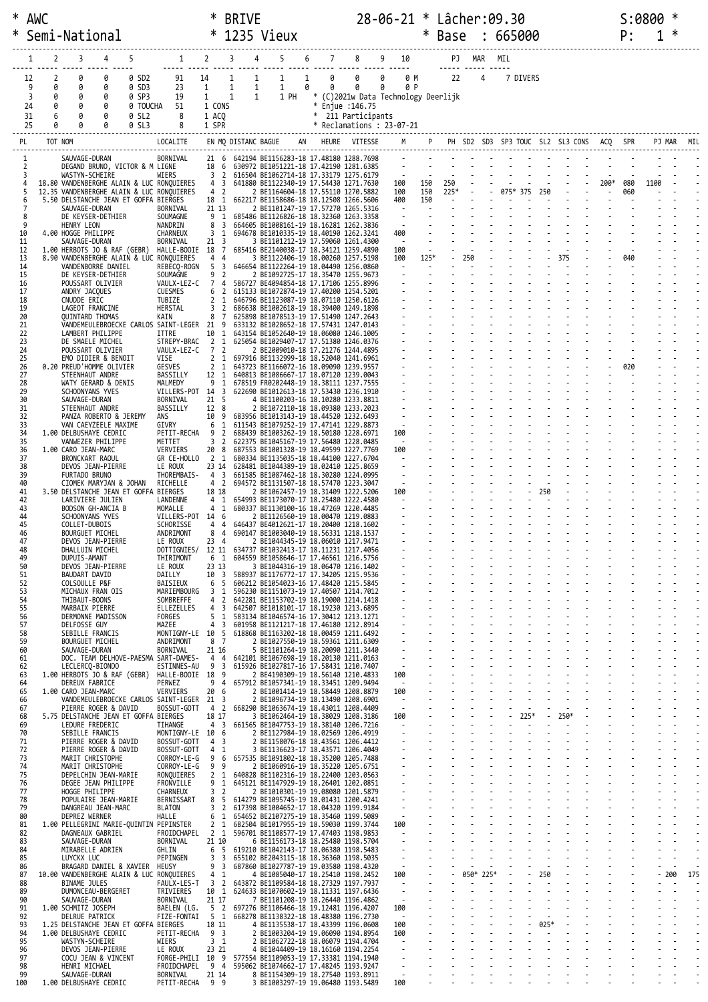| $\ast$ | <b>AWC</b>           |                                                                                        |                                 | ∗                                          | <b>BRIVE</b>                                 |                                                                                        |                   |                                                 | 28-06-21 * Lâcher:09.30 |            |             |        |                |                                                                                                                  |        |                  |      |            | S:0800 |            |     |
|--------|----------------------|----------------------------------------------------------------------------------------|---------------------------------|--------------------------------------------|----------------------------------------------|----------------------------------------------------------------------------------------|-------------------|-------------------------------------------------|-------------------------|------------|-------------|--------|----------------|------------------------------------------------------------------------------------------------------------------|--------|------------------|------|------------|--------|------------|-----|
|        |                      | Semi-National                                                                          |                                 | $\ast$                                     |                                              | 1235 Vieux                                                                             |                   |                                                 |                         | $\ast$     |             |        |                | Base : 665000                                                                                                    |        |                  |      | P:         |        |            |     |
|        | 2<br>1               | 4<br>5<br>3                                                                            | $1 \t2$                         |                                            | 3<br>4                                       | 5                                                                                      | 6                 | 7                                               | 8 9 10                  |            |             | PJ MAR | MIL            |                                                                                                                  |        |                  |      |            |        |            |     |
|        | $\overline{2}$<br>12 | 0<br>0<br>0 SD2                                                                        | 91                              | 14                                         | 1<br>$\mathbf{1}$                            | $\mathbf{1}$                                                                           | 0<br>$\mathbf{1}$ | <u> </u><br>0                                   | $\theta$<br>0 M         |            | 22          |        | $\overline{4}$ | 7 DIVERS                                                                                                         |        |                  |      |            |        |            |     |
|        | 0<br>9<br>3<br>0     | 0<br>0<br>0 SD3<br>0<br>0<br>0 SP3                                                     | 23<br>19                        | 1<br>1                                     | $\mathbf{1}$<br>$\mathbf{1}$<br>$\mathbf{1}$ | $\mathbf{1}$<br>$\mathbf{1}$<br>1 PH                                                   | 0<br>0            | $\theta$<br>* (C)2021w Data Technology Deerlijk | 0<br>0 P                |            |             |        |                |                                                                                                                  |        |                  |      |            |        |            |     |
|        | 24<br>0              | 0<br>0                                                                                 | 51<br>0 TOUCHA                  | 1 CONS                                     |                                              |                                                                                        |                   | * Enjue : 146.75                                |                         |            |             |        |                |                                                                                                                  |        |                  |      |            |        |            |     |
|        | 31<br>6<br>25<br>0   | 0<br>0 SL2<br>ø<br>0 SL3                                                               | 8<br>8                          | 1 ACQ<br>1 SPR                             |                                              |                                                                                        |                   | * 211 Participants<br>* Reclamations: 23-07-21  |                         |            |             |        |                |                                                                                                                  |        |                  |      |            |        |            |     |
|        | PL                   | TOT NOM                                                                                | LOCALITE                        |                                            | EN MQ DISTANC BAGUE                          |                                                                                        |                   | AN HEURE VITESSE                                | M                       |            |             |        |                | P PH SD2 SD3 SP3 TOUC SL2 SL3 CONS ACQ SPR                                                                       |        |                  |      |            |        | PJ MAR MIL |     |
|        | $\mathbf{1}$         | SAUVAGE-DURAN                                                                          | BORNIVAL                        |                                            |                                              | 21 6 642194 BE1156283-18 17.48180 1288.7698                                            |                   |                                                 |                         |            |             |        |                | and the company of the company of the company of the company of the company of the company of the company of the |        |                  |      |            |        |            |     |
|        | 2<br>3               | DEGAND BRUNO, VICTOR & M LIGNE<br>WASTYN-SCHEIRE                                       | WIERS                           | 3 <sup>2</sup>                             |                                              | 18 6 630972 BE1051221-18 17.42190 1281.6385<br>616504 BE1062714-18 17.33179 1275.6179  |                   |                                                 |                         |            |             |        |                |                                                                                                                  |        |                  |      |            |        |            |     |
|        | 5                    | 18.80 VANDENBERGHE ALAIN & LUC RONQUIERES<br>12.35 VANDENBERGHE ALAIN & LUC RONQUIERES |                                 | $4 \overline{3}$<br>4 2                    |                                              | 641880 BE1122340-19 17.54430 1271.7630<br>2 BE1164604-18 17.55110 1270.5882            |                   |                                                 | 100<br>100              | 150<br>150 | 250<br>225* |        |                | 075* 375 250                                                                                                     |        |                  | 200* | 080<br>060 | 1100   |            |     |
|        | 6<br>7               | 5.50 DELSTANCHE JEAN ET GOFFA BIERGES<br>SAUVAGE-DURAN                                 | BORNIVAL                        | 18 1<br>21 13                              |                                              | 662217 BE1158686-18 18.12508 1266.5606<br>2 BE1101247-19 17.57270 1265.5316            |                   |                                                 | 400<br>$\sim$ 100 $\mu$ | 150        |             |        |                | $\omega$                                                                                                         |        |                  |      |            |        |            |     |
|        | 8<br>9               | DE KEYSER-DETHIER<br>HENRY LEON                                                        | SOUMAGNE<br>NANDRIN             | 9 1<br>8<br>$\overline{\mathbf{3}}$        |                                              | 685486 BE1126826-18 18.32360 1263.3358<br>664605 BE1008161-19 18.16281 1262.3836       |                   |                                                 | $\sim$                  |            |             |        |                |                                                                                                                  |        |                  |      |            |        |            |     |
|        | 10<br>11             | 4.00 HOGGE PHILIPPE<br>SAUVAGE-DURAN                                                   | CHARNEUX<br>BORNIVAL            | 3 <sub>1</sub><br>$21 \quad 3$             |                                              | 694678 BE1010335-19 18.40190 1262.3241<br>3 BE1101212-19 17.59060 1261.4300            |                   |                                                 | 400<br>$\sim$ $-$       |            |             |        |                |                                                                                                                  |        |                  |      |            |        |            |     |
|        | 12<br>13             | 1.00 HERBOTS JO & RAF (GEBR)<br>8.90 VANDENBERGHE ALAIN & LUC RONQUIERES               | HALLE-BOOIE 18 7                | 4 4                                        |                                              | 685416 BE2140038-17 18.34121 1259.4890<br>3 BE1122406-19 18.00260 1257.5198            |                   |                                                 | 100<br>100              | 125*       |             | 250    |                |                                                                                                                  |        | 375              |      | 040        |        |            |     |
|        | 14<br>15             | VANDENBORRE DANIEL<br>DE KEYSER-DETHIER                                                | REBECQ-ROGN<br>SOUMAGNE         | 5 <sub>3</sub><br>9<br>$\overline{2}$      |                                              | 646654 BE1122264-19 18.04490 1256.0860<br>2 BE1092725-17 18.35470 1255.9673            |                   |                                                 | $\sim$                  |            |             |        |                |                                                                                                                  |        | $\sim$ 100 $\pm$ |      |            |        |            |     |
|        | 16<br>17             | POUSSART OLIVIER<br>ANDRY JACQUES                                                      | VAULX-LEZ-C<br><b>CUESMES</b>   | 74<br>6 <sup>2</sup>                       |                                              | 586727 BE4094854-18 17.17106 1255.8996<br>615133 BE1072874-19 17.40200 1254.5201       |                   |                                                 |                         |            |             |        |                |                                                                                                                  |        |                  |      |            |        |            |     |
|        | 18<br>19             | CNUDDE ERIC                                                                            | TUBIZE                          | $\overline{2}$<br>1<br>3 <sub>2</sub>      |                                              | 646796 BE1123087-19 18.07110 1250.6126<br>686638 BE1002618-19 18.39400 1249.1898       |                   |                                                 |                         |            |             |        |                |                                                                                                                  |        |                  |      |            |        |            |     |
|        | 20                   | LAGEOT FRANCINE<br><b>OUINTARD THOMAS</b>                                              | HERSTAL<br>KAIN                 | 8 7                                        |                                              | 625898 BE1078513-19 17.51490 1247.2643                                                 |                   |                                                 |                         |            |             |        |                |                                                                                                                  |        |                  |      |            |        |            |     |
|        | 21<br>22             | VANDEMEULEBROECKE CARLOS SAINT-LEGER 21 9<br>LAMBERT PHILIPPE                          | ITTRE                           | 10 1                                       |                                              | 633132 BE1028652-18 17.57431 1247.0143<br>643154 BE1052640-19 18.06080 1246.1005       |                   |                                                 |                         |            |             |        |                |                                                                                                                  |        |                  |      |            |        |            |     |
|        | 23<br>24             | DE SMAELE MICHEL<br>POUSSART OLIVIER                                                   | STREPY-BRAC<br>VAULX-LEZ-C      | 2 <sub>1</sub><br>7 <sup>2</sup>           |                                              | 625054 BE1029407-17 17.51380 1246.0376<br>2 BE2009010-18 17.21276 1244.4895            |                   |                                                 |                         |            |             |        |                |                                                                                                                  |        |                  |      |            |        |            |     |
|        | 25<br>26             | EMO DIDIER & BENOIT<br>0.20 PREUD'HOMME OLIVIER                                        | VISE<br>GESVES                  | 2 <sub>1</sub><br>2 <sub>1</sub>           |                                              | 697916 BE1132999-18 18.52040 1241.6961<br>643723 BE1166072-16 18.09090 1239.9557       |                   |                                                 |                         |            |             |        |                |                                                                                                                  |        |                  |      | 020        |        |            |     |
|        | 27<br>28             | STEENHAUT ANDRE<br>WATY GERARD & DENIS                                                 | BASSILLY<br>MALMEDY             | 12 1<br>9 <sub>1</sub>                     |                                              | 640813 BE1086667-17 18.07120 1239.0043<br>678519 FR0202448-19 18.38111 1237.7555       |                   |                                                 |                         |            |             |        |                |                                                                                                                  |        |                  |      |            |        |            |     |
|        | 29<br>30             | SCHOONYANS YVES<br>SAUVAGE-DURAN                                                       | VILLERS-POT 14<br>BORNIVAL      | $\overline{\mathbf{3}}$<br>21 <sub>5</sub> |                                              | 622690 BE1012613-18 17.53430 1236.1910<br>4 BE1100203-16 18.10280 1233.8811            |                   |                                                 |                         |            |             |        |                |                                                                                                                  |        |                  |      |            |        |            |     |
| 31     | 32                   | STEENHAUT ANDRE<br>PANZA ROBERTO & JEREMY                                              | BASSILLY<br>ans                 | 12 8<br>10 9                               |                                              | 2 BE1072110-18 18.09380 1233.2023<br>683956 BE1013143-19 18.44520 1232.6493            |                   |                                                 | $\frac{1}{2}$           |            |             |        |                |                                                                                                                  |        |                  |      |            |        |            |     |
| 34     | 33                   | VAN CAEYZEELE MAXIME<br>1.00 DELBUSHAYE CEDRIC                                         | GIVRY<br>PETIT-RECHA            | 6<br>1<br>9 <sub>2</sub>                   |                                              | 611543 BE1079252-19 17.47141 1229.8873<br>688439 BE1003262-19 18.50180 1228.6971       |                   |                                                 | $\sim$<br>100           |            |             |        |                |                                                                                                                  |        |                  |      |            |        |            |     |
|        | 35                   | VANWEZER PHILIPPE                                                                      | METTET                          | 3 <sub>2</sub>                             |                                              | 622375 BE1045167-19 17.56480 1228.0485                                                 |                   |                                                 | $\sim 100$              |            |             |        |                |                                                                                                                  |        |                  |      |            |        |            |     |
|        | 36<br>37             | 1.00 CARO JEAN-MARC<br>BRONCKART RAOUL                                                 | VERVIERS<br>GR CE-HOLLO         | 20 8<br>2 1                                |                                              | 687553 BE1001328-19 18.49599 1227.7769<br>680334 BE1135035-18 18.44100 1227.6704       |                   |                                                 | 100<br>$\sim$           |            |             |        |                |                                                                                                                  |        |                  |      |            |        |            |     |
|        | 38<br>39             | DEVOS JEAN-PIERRE<br>FURTADO BRUNO                                                     | LE ROUX<br>THOREMBAIS-          | 23 14<br>4 <sup>3</sup>                    |                                              | 628481 BE1044389-19 18.02410 1225.8659<br>661585 BE1087462-18 18.30280 1224.0995       |                   |                                                 |                         |            |             |        |                |                                                                                                                  |        |                  |      |            |        |            |     |
|        | 40<br>41             | CIOMEK MARYJAN & JOHAN<br>3.50 DELSTANCHE JEAN ET GOFFA BIERGES                        | RICHELLE                        | 4 2<br>18 18                               |                                              | 694572 BE1131507-18 18.57470 1223.3047<br>2 BE1062457-19 18.31409 1222.5206            |                   |                                                 | $\sim$<br>100           |            |             |        |                |                                                                                                                  | 250    |                  |      |            |        |            |     |
|        | 42<br>43             | LARIVIERE JULIEN<br>BODSON GH-ANCIA B                                                  | LANDENNE<br>MOMALLE             | $4 \quad 1$<br>$4 \quad 1$                 |                                              | 654993 BE1173070-17 18.25480 1222.4580<br>680337 BE1130100-16 18.47269 1220.4485       |                   |                                                 | $\sim$                  |            |             |        |                |                                                                                                                  |        |                  |      |            |        |            |     |
|        | 44<br>45             | SCHOONYANS YVES<br>COLLET-DUBOIS                                                       | VILLERS-POT 14 6<br>SCHORISSE   | 4 4                                        |                                              | 2 BE1126560-19 18.00470 1219.0883<br>646437 BE4012621-17 18.20400 1218.1602            |                   |                                                 |                         |            |             |        |                |                                                                                                                  |        |                  |      |            |        |            |     |
| 47     | 46                   | <b>BOURGUET MICHEL</b><br>DEVOS JEAN-PIERRE                                            | ANDRIMONT<br>LE ROUX            | 8 4<br>23 4                                |                                              | 690147 BE1003040-19 18.56331 1218.1537<br>2 BE1044345-19 18.06010 1217.9471            |                   |                                                 |                         |            |             |        |                |                                                                                                                  |        |                  |      |            |        |            |     |
|        | 48<br>49             | DHALLUIN MICHEL<br>DUPUIS-AMANT                                                        | DOTTIGNIES/<br>THIRIMONT        | 6 1                                        |                                              | 12 11 634737 BE1032413-17 18.11231 1217.4056<br>604559 BE1058646-17 17.46561 1216.5756 |                   |                                                 |                         |            |             |        |                |                                                                                                                  |        |                  |      |            |        |            |     |
|        | 50<br>51             | DEVOS JEAN-PIERRE<br><b>BAUDART DAVID</b>                                              | LE ROUX<br>DAILLY               | 23 13<br>10 3                              |                                              | 3 BE1044316-19 18.06470 1216.1402<br>588937 BE1176772-17 17.34205 1215.9536            |                   |                                                 |                         |            |             |        |                |                                                                                                                  |        |                  |      |            |        |            |     |
|        | 52                   | COLSOULLE P&F                                                                          | BAISIEUX                        | - 5<br>6                                   |                                              | 606212 BE1054023-16 17.48420 1215.5845                                                 |                   |                                                 |                         |            |             |        |                |                                                                                                                  |        |                  |      |            |        |            |     |
|        | 53<br>54             | MICHAUX FRAN OIS<br>THIBAUT-BOONS                                                      | MARIEMBOURG<br>SOMBREFFE        | 3 <sub>1</sub><br>$\overline{2}$<br>4      |                                              | 596230 BE1151073-19 17.40507 1214.7012<br>642281 BE1153702-19 18.19000 1214.1418       |                   |                                                 |                         |            |             |        |                |                                                                                                                  |        |                  |      |            |        |            |     |
|        | 55<br>56             | MARBAIX PIERRE<br>DERMONNE MADISSON                                                    | ELLEZELLES<br>FORGES            | 4 3<br>5<br>1                              |                                              | 642507 BE1018101-17 18.19230 1213.6895<br>583134 BE1046574-16 17.30412 1213.1271       |                   |                                                 |                         |            |             |        |                |                                                                                                                  |        |                  |      |            |        |            |     |
|        | 57<br>58             | DELFOSSE GUY<br>SEBILLE FRANCIS                                                        | MAZEE<br>MONTIGNY-LE 10         | 4<br>3<br>- 5                              |                                              | 601958 BE1121217-18 17.46180 1212.8914<br>618868 BE1163202-18 18.00459 1211.6492       |                   |                                                 |                         |            |             |        |                |                                                                                                                  |        |                  |      |            |        |            |     |
|        | 59<br>60             | <b>BOURGUET MICHEL</b><br>SAUVAGE-DURAN                                                | ANDRIMONT<br>BORNIVAL           | 8 7<br>21 16                               |                                              | 2 BE1027550-19 18.59361 1211.6309<br>5 BE1101264-19 18.20090 1211.3440                 |                   |                                                 |                         |            |             |        |                |                                                                                                                  |        |                  |      |            |        |            |     |
|        | 61<br>62             | DOC. TEAM DELHOVE-PAESMA SART-DAMES-<br>LECLERCQ-BIONDO                                | ESTINNES-AU                     | 4 4<br>9<br>3                              |                                              | 642101 BE1067698-19 18.20130 1211.0163<br>615926 BE1027817-16 17.58431 1210.7407       |                   |                                                 | $\sim$                  |            |             |        |                |                                                                                                                  |        |                  |      |            |        |            |     |
|        | 63<br>64             | 1.00 HERBOTS JO & RAF (GEBR)<br>DEREUX FABRICE                                         | HALLE-BOOIE 18 9<br>PERWEZ      | 94                                         |                                              | 2 BE4190309-19 18.56140 1210.4833<br>657912 BE1057341-19 18.33451 1209.9494            |                   |                                                 | 100<br>$\sim$           |            |             |        |                |                                                                                                                  |        |                  |      |            |        |            |     |
|        | 65<br>66             | 1.00 CARO JEAN-MARC<br>VANDEMEULEBROECKE CARLOS SAINT-LEGER 21 3                       | VERVIERS                        | 20 6                                       |                                              | 2 BE1001414-19 18.58449 1208.8879<br>2 BE1096734-19 18.13490 1208.6901                 |                   |                                                 | 100<br>$\sim$           |            |             |        |                |                                                                                                                  |        |                  |      |            |        |            |     |
| 67     | 68                   | PIERRE ROGER & DAVID<br>5.75 DELSTANCHE JEAN ET GOFFA BIERGES                          | BOSSUT-GOTT                     | 4 2<br>18 17                               |                                              | 668290 BE1063674-19 18.43011 1208.4409<br>3 BE1062464-19 18.38029 1208.3186            |                   |                                                 | $\sim$<br>100           |            |             |        |                | 225*                                                                                                             |        | 250*             |      |            |        |            |     |
|        | 69<br>70             | LEDURE FREDERIC<br>SEBILLE FRANCIS                                                     | TIHANGE<br>MONTIGNY-LE 10 6     | 4 3                                        |                                              | 661565 BE1047753-19 18.38140 1206.7216<br>2 BE1127984-19 18.02569 1206.4919            |                   |                                                 | $\sim$                  |            |             |        |                |                                                                                                                  |        |                  |      |            |        |            |     |
|        | 71                   | PIERRE ROGER & DAVID                                                                   | BOSSUT-GOTT                     | 4 <sup>3</sup><br>4                        |                                              | 2 BE1158076-18 18.43561 1206.4412                                                      |                   |                                                 |                         |            |             |        |                |                                                                                                                  |        |                  |      |            |        |            |     |
|        | 72<br>73             | PIERRE ROGER & DAVID<br>MARIT CHRISTOPHE                                               | BOSSUT-GOTT<br>CORROY-LE-G      | -1<br>9 6                                  |                                              | 3 BE1136623-17 18.43571 1206.4049<br>657535 BE1091802-18 18.35200 1205.7488            |                   |                                                 | $\blacksquare$          |            |             |        |                |                                                                                                                  |        |                  |      |            |        |            |     |
|        | 74<br>75             | MARIT CHRISTOPHE<br>DEPELCHIN JEAN-MARIE                                               | CORROY-LE-G<br>RONQUIERES       | 99<br>2 <sub>1</sub>                       |                                              | 2 BE1060916-19 18.35220 1205.6751<br>640828 BE1102316-19 18.22400 1203.0563            |                   |                                                 |                         |            |             |        |                |                                                                                                                  |        |                  |      |            |        |            |     |
|        | 76<br>77             | DEGEE JEAN PHILIPPE<br>HOGGE PHILIPPE                                                  | FRONVILLE<br>CHARNEUX           | 9<br>-1<br>3 <sub>2</sub>                  |                                              | 645121 BE1147929-19 18.26401 1202.0851<br>2 BE1010301-19 19.08080 1201.5879            |                   |                                                 |                         |            |             |        |                |                                                                                                                  |        |                  |      |            |        |            |     |
|        | 78<br>79             | POPULAIRE JEAN-MARIE<br>DANGREAU JEAN-MARC                                             | BERNISSART<br><b>BLATON</b>     | 8<br>-5<br>3 <sub>2</sub>                  |                                              | 614279 BE1095745-19 18.01431 1200.4241<br>617398 BE1004652-17 18.04320 1199.9184       |                   |                                                 | $\blacksquare$          |            |             |        |                |                                                                                                                  |        |                  |      |            |        |            |     |
|        | 80<br>81             | DEPREZ WERNER<br>1.00 PELLEGRINI MARIE-QUINTIN PEPINSTER                               | HALLE                           | 6<br>- 1<br>2 <sub>1</sub>                 |                                              | 654652 BE2107275-19 18.35460 1199.5089<br>682504 BE1017955-19 18.59030 1199.3744       |                   |                                                 | $\sim$<br>100           |            |             |        |                |                                                                                                                  |        |                  |      |            |        |            |     |
|        | 82<br>83             | DAGNEAUX GABRIEL<br>SAUVAGE-DURAN                                                      | FROIDCHAPEL<br>BORNIVAL         | 2 <sub>1</sub><br>21 10                    |                                              | 596701 BE1108577-19 17.47403 1198.9853<br>6 BE1156173-18 18.25480 1198.5704            |                   |                                                 | $\sim$                  |            |             |        |                |                                                                                                                  |        |                  |      |            |        |            |     |
|        | 84<br>85             | MIRABELLE ADRIEN<br>LUYCKX LUC                                                         | GHLIN<br>PEPINGEN               | 6 5<br>3 <sup>3</sup>                      |                                              | 619210 BE1042143-17 18.06380 1198.5483<br>655102 BE2043115-18 18.36360 1198.5035       |                   |                                                 | $\blacksquare$          |            |             |        |                |                                                                                                                  |        |                  |      |            |        |            |     |
| 87     | 86                   | BRAGARD DANIEL & XAVIER<br>10.00 VANDENBERGHE ALAIN & LUC RONQUIERES                   | HEUSY                           | 9 <sub>3</sub><br>$4 \quad 1$              |                                              | 687860 BE1027787-19 19.03580 1198.4320<br>4 BE1085040-17 18.25410 1198.2452            |                   |                                                 | $\sim$<br>100           |            |             | 050*   | 225*           |                                                                                                                  | 250    |                  |      |            |        | 200        | 175 |
|        | 88                   | BINAME JULES                                                                           | FAULX-LES-T                     | 3 <sub>2</sub>                             |                                              | 643872 BE1109584-18 18.27329 1197.7937                                                 |                   |                                                 | $\sim$                  |            |             |        |                |                                                                                                                  |        |                  |      |            |        |            |     |
|        | 89<br>90             | DUMONCEAU-BERGERET<br>SAUVAGE-DURAN                                                    | TRIVIERES<br>BORNIVAL           | 10 1<br>21 17                              |                                              | 624633 BE1070602-19 18.11331 1197.6436<br>7 BE1101208-19 18.26440 1196.4862            |                   |                                                 | $\sim$                  |            |             |        |                |                                                                                                                  |        |                  |      |            |        |            |     |
|        | 91<br>92             | 1.00 SCHMITZ JOSEPH<br><b>DELRUE PATRICK</b>                                           | BAELEN (LG.<br>FIZE-FONTAI      | 5 <sub>2</sub><br>5 1                      |                                              | 697276 BE1106466-18 19.12481 1196.4207<br>668278 BE1138322-18 18.48380 1196.2730       |                   |                                                 | 100<br>$\sim$ $\sim$    |            |             |        |                |                                                                                                                  |        |                  |      |            |        |            |     |
|        | 93<br>94             | 1.25 DELSTANCHE JEAN ET GOFFA BIERGES<br>1.00 DELBUSHAYE CEDRIC                        | PETIT-RECHA                     | 18 11<br>9 3                               |                                              | 4 BE1135538-17 18.43399 1196.0608<br>2 BE1003204-19 19.06090 1194.8954                 |                   |                                                 | 100<br>100              |            |             |        |                |                                                                                                                  | $025*$ |                  |      |            |        |            |     |
|        | 95<br>96             | WASTYN-SCHEIRE<br>DEVOS JEAN-PIERRE                                                    | WIERS<br>LE ROUX                | 3 <sub>1</sub><br>23 21                    |                                              | 2 BE1062722-18 18.06079 1194.4704<br>4 BE1044409-19 18.16160 1194.2254                 |                   |                                                 | $\sim$                  |            |             |        |                |                                                                                                                  |        |                  |      |            |        |            |     |
|        | 97<br>98             | COCU JEAN & VINCENT<br>HENRI MICHAEL                                                   | FORGE-PHILI 10 9<br>FROIDCHAPEL | 94                                         |                                              | 577554 BE1109053-19 17.33381 1194.1940<br>595062 BE1074662-17 17.48245 1193.9247       |                   |                                                 | $\blacksquare$          |            |             |        |                |                                                                                                                  |        |                  |      |            |        |            |     |
| 100    | 99                   | SAUVAGE-DURAN<br>1.00 DELBUSHAYE CEDRIC                                                | BORNIVAL<br>PETIT-RECHA 9 9     | 21 14                                      |                                              | 8 BE1154309-19 18.27540 1193.8911<br>3 BE1003297-19 19.06480 1193.5489                 |                   |                                                 | $\sim$<br>100           |            |             |        |                |                                                                                                                  |        |                  |      |            |        |            |     |
|        |                      |                                                                                        |                                 |                                            |                                              |                                                                                        |                   |                                                 |                         |            |             |        |                |                                                                                                                  |        |                  |      |            |        |            |     |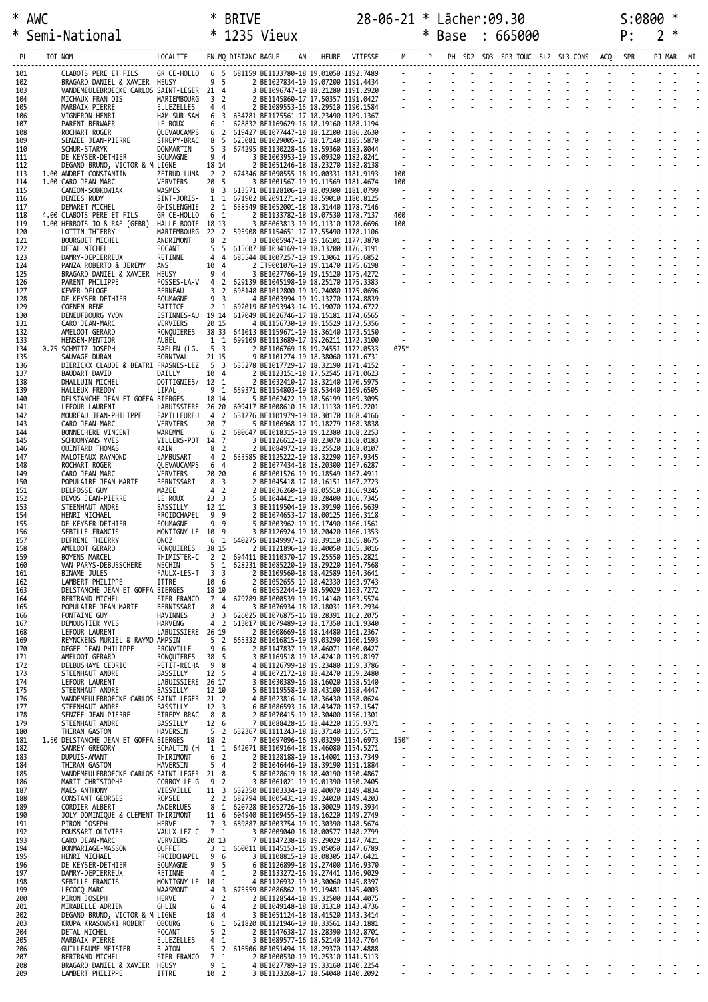|            | * AWC |                                                              |                                  | ∗                                | <b>BRIVE</b>                  |                                                                                      |                   |                                  |        | 28-06-21 * Lâcher:09.30                  |  |          |  |  | S:0800 |                |   |  |
|------------|-------|--------------------------------------------------------------|----------------------------------|----------------------------------|-------------------------------|--------------------------------------------------------------------------------------|-------------------|----------------------------------|--------|------------------------------------------|--|----------|--|--|--------|----------------|---|--|
| ∗          |       | Semi-National                                                |                                  | $\ast$                           |                               | 1235 Vieux                                                                           |                   |                                  | $\ast$ | Base                                     |  | : 665000 |  |  | P:     | $\overline{2}$ | ∗ |  |
| PL         |       | TOT NOM                                                      | LOCALITE                         |                                  | EN MQ DISTANC BAGUE           | AN                                                                                   | HEURE VITESSE M P |                                  |        | PH SD2 SD3 SP3 TOUC SL2 SL3 CONS ACQ SPR |  |          |  |  |        | PJ MAR         |   |  |
| 101<br>102 |       | CLABOTS PERE ET FILS<br>BRAGARD DANIEL & XAVIER HEUSY        | GR CE-HOLLO                      | 9 5                              |                               | 6 5 681159 BE1133780-18 19.01050 1192.7489<br>2 BE1027834-19 19.07200 1191.4434      |                   |                                  |        |                                          |  |          |  |  |        |                |   |  |
| 103        |       | VANDEMEULEBROECKE CARLOS SAINT-LEGER 21 4                    |                                  |                                  |                               | 3 BE1096747-19 18.21280 1191.2920                                                    |                   |                                  |        |                                          |  |          |  |  |        |                |   |  |
| 104<br>105 |       | MICHAUX FRAN OIS<br>MARBAIX PIERRE                           | MARIEMBOURG<br>ELLEZELLES        | 3 2<br>4 4                       |                               | 2 BE1145860-17 17.50357 1191.0427<br>2 BE1089553-16 18.29510 1190.1584               |                   |                                  |        |                                          |  |          |  |  |        |                |   |  |
| 106<br>107 |       | VIGNERON HENRI<br>PARENT-BERWAER                             | HAM-SUR-SAM<br>LE ROUX           | 6<br>6                           | $\overline{\mathbf{3}}$<br>-1 | 634781 BE1175561-17 18.23490 1189.1367<br>628832 BE1169629-16 18.19160 1188.1194     |                   |                                  |        |                                          |  |          |  |  |        |                |   |  |
| 108<br>109 |       | ROCHART ROGER<br>SENZEE JEAN-PIERRE                          | QUEVAUCAMPS<br>STREPY-BRAC       | 6<br>85                          | $\overline{2}$                | 619427 BE1077447-18 18.12100 1186.2630<br>625081 BE1029005-17 18.17140 1185.5870     |                   |                                  |        |                                          |  |          |  |  |        |                |   |  |
| 110        |       | <b>SCHUR-STARYK</b>                                          | DONMARTIN                        | 5 <sub>3</sub>                   |                               | 674295 BE1130228-16 18.59360 1183.8044                                               |                   |                                  |        |                                          |  |          |  |  |        |                |   |  |
| 111<br>112 |       | DE KEYSER-DETHIER<br>DEGAND BRUNO, VICTOR & M LIGNE          | SOUMAGNE                         | 9 <sub>4</sub><br>18 14          |                               | 3 BE1003953-19 19.09320 1182.8241<br>2 BE1051246-18 18.23270 1182.8138               |                   |                                  |        |                                          |  |          |  |  |        |                |   |  |
| 113<br>114 |       | 1.00 ANDREI CONSTANTIN<br>1.00 CARO JEAN-MARC                | ZETRUD-LUMA<br>VERVIERS          | 2 2<br>20 5                      |                               | 674346 BE1090555-18 19.00331 1181.9193<br>3 BE1001567-19 19.11569 1181.4674          |                   | 100<br>100                       |        |                                          |  |          |  |  |        |                |   |  |
| 115        |       | CANION-SOBKOWIAK                                             | WASMES                           | 8 3                              |                               | 613571 BE1128106-19 18.09300 1181.0799                                               |                   |                                  |        |                                          |  |          |  |  |        |                |   |  |
| 116<br>117 |       | DENIES RUDY<br>DEMARET MICHEL                                | SINT-JORIS-<br>GHISLENGHIE       | 1 1<br>2 <sub>1</sub>            |                               | 671902 BE2091271-19 18.59010 1180.8125<br>638549 BE1052001-18 18.31440 1178.7146     |                   | $\sim$<br>$\sim$                 |        |                                          |  |          |  |  |        |                |   |  |
| 118<br>119 |       | 4.00 CLABOTS PERE ET FILS<br>1.00 HERBOTS JO & RAF (GEBR)    | GR CE-HOLLO<br>HALLE-BOOIE 18 13 | 6 1                              |                               | 2 BE1133782-18 19.07530 1178.7137<br>3 BE6063813-19 19.11310 1178.6696               |                   | 400<br>100                       |        |                                          |  |          |  |  |        |                |   |  |
| 120        |       | LOTTIN THIERRY<br><b>BOURGUET MICHEL</b>                     | MARIEMBOURG 22 2                 | 8 <sup>2</sup>                   |                               | 595908 BE1154651-17 17.55490 1178.1106<br>3 BE1005947-19 19.16101 1177.3870          |                   | $\sim$                           |        |                                          |  |          |  |  |        |                |   |  |
| 121<br>122 |       | DETAL MICHEL                                                 | ANDRIMONT<br>FOCANT              | 5                                | -5                            | 615607 BE1034169-19 18.13200 1176.3191                                               |                   |                                  |        |                                          |  |          |  |  |        |                |   |  |
| 123<br>124 |       | DAMRY-DEPIERREUX<br>PANZA ROBERTO & JEREMY                   | RETINNE<br>ans                   | 4<br>10 4                        | 4                             | 685544 BE1007257-19 19.13061 1175.6852<br>2 IT9001076-19 19.11470 1175.6198          |                   |                                  |        |                                          |  |          |  |  |        |                |   |  |
| 125<br>126 |       | BRAGARD DANIEL & XAVIER<br>PARENT PHILIPPE                   | HEUSY<br>FOSSES-LA-V             | 94<br>$\overline{4}$             | $\overline{2}$                | 3 BE1027766-19 19.15120 1175.4272<br>629139 BE1045198-19 18.25170 1175.3383          |                   | $\sim$                           |        |                                          |  |          |  |  |        |                |   |  |
| 127        |       | KEVER-DELOGE                                                 | BERNEAU                          | 3 <sub>2</sub>                   |                               | 698148 BE1012800-19 19.24080 1175.0696                                               |                   |                                  |        |                                          |  |          |  |  |        |                |   |  |
| 128<br>129 |       | DE KEYSER-DETHIER<br>COENEN RENE                             | SOUMAGNE<br>BATTICE              | 9 3<br>2 <sub>1</sub>            |                               | 4 BE1003994-19 19.13270 1174.8839<br>692019 BE1093943-14 19.19070 1174.6722          |                   |                                  |        |                                          |  |          |  |  |        |                |   |  |
| 130<br>131 |       | DENEUFBOURG YVON<br>CARO JEAN-MARC                           | ESTINNES-AU 19 14<br>VERVIERS    | 20 15                            |                               | 617049 BE1026746-17 18.15181 1174.6565<br>4 BE1156730-19 19.15529 1173.5356          |                   | $\sim$                           |        |                                          |  |          |  |  |        |                |   |  |
| 132        |       | AMELOOT GERARD                                               | RONOUIERES                       |                                  |                               | 38 33 641013 BE1159671-19 18.36140 1173.5150                                         |                   | $\sim$<br>$\sim$                 |        |                                          |  |          |  |  |        |                |   |  |
| 133<br>134 |       | HENSEN-MENTIOR<br>0.75 SCHMITZ JOSEPH                        | AUBEL<br>BAELEN (LG.             | 1 1<br>5 3                       |                               | 699109 BE1113689-17 19.26211 1172.3100<br>2 BE1106769-18 19.24551 1172.0533          |                   | 075*                             |        |                                          |  |          |  |  |        |                |   |  |
| 135<br>136 |       | SAUVAGE-DURAN<br>DIERICKX CLAUDE & BEATRI FRASNES-LEZ        | BORNIVAL                         | 21 15<br>5 3                     |                               | 9 BE1101274-19 18.38060 1171.6731<br>635278 BE1017729-17 18.32190 1171.4152          |                   | $\sim$ $-$                       |        |                                          |  |          |  |  |        |                |   |  |
| 137        |       | BAUDART DAVID                                                | DAILLY                           | 10 4                             |                               | 2 BE1123151-18 17.52545 1171.0623                                                    |                   | $\sim$                           |        |                                          |  |          |  |  |        |                |   |  |
| 138<br>139 |       | DHALLUIN MICHEL<br>HALLEUX FREDDY                            | DOTTIGNIES/ 12 1<br>LIMAL        | 9 1                              |                               | 2 BE1032410-17 18.32140 1170.5975<br>659371 BE1154803-19 18.53440 1169.6505          |                   |                                  |        |                                          |  |          |  |  |        |                |   |  |
| 140<br>141 |       | DELSTANCHE JEAN ET GOFFA BIERGES<br>LEFOUR LAURENT           | LABUISSIERE 26 20                | 18 14                            |                               | 5 BE1062422-19 18.56199 1169.3095<br>609417 BE1008610-18 18.11130 1169.2201          |                   |                                  |        |                                          |  |          |  |  |        |                |   |  |
| 142<br>143 |       | MOUREAU JEAN-PHILIPPE<br>CARO JEAN-MARC                      | FAMILLEUREU<br>VERVIERS          | 4 2<br>20                        | - 7                           | 631276 BE1101979-19 18.30170 1168.4166<br>5 BE1106968-17 19.18279 1168.3838          |                   |                                  |        |                                          |  |          |  |  |        |                |   |  |
| 144        |       | BONNECHERE VINCENT                                           | WAREMME                          | 6                                | $\overline{2}$                | 680647 BE1018315-19 19.12380 1168.2253                                               |                   |                                  |        |                                          |  |          |  |  |        |                |   |  |
| 145<br>146 |       | SCHOONYANS YVES<br>QUINTARD THOMAS                           | VILLERS-POT 14 7<br>KAIN         | 8                                | $\overline{2}$                | 3 BE1126612-19 18.23070 1168.0183<br>2 BE1084972-19 18.25520 1168.0107               |                   |                                  |        |                                          |  |          |  |  |        |                |   |  |
| 147<br>148 |       | MALOTEAUX RAYMOND<br>ROCHART ROGER                           | LAMBUSART<br>QUEVAUCAMPS         | 4<br>64                          | $\overline{2}$                | 633585 BE1125222-19 18.32290 1167.9345<br>2 BE1077434-18 18.20300 1167.6287          |                   |                                  |        |                                          |  |          |  |  |        |                |   |  |
| 149        |       | CARO JEAN-MARC<br>POPULAIRE JEAN-MARIE                       | VERVIERS                         | 20 20                            |                               | 6 BE1001526-19 19.18549 1167.4911                                                    |                   |                                  |        |                                          |  |          |  |  |        |                |   |  |
| 150<br>151 |       | DELFOSSE GUY                                                 | BERNISSART<br>MAZEE              | 8 3<br>4 2                       |                               | 2 BE1045418-17 18.16151 1167.2723<br>2 BE1036260-19 18.05510 1166.9245               |                   |                                  |        |                                          |  |          |  |  |        |                |   |  |
| 152<br>153 |       | DEVOS JEAN-PIERRE<br>STEENHAUT ANDRE                         | LE ROUX<br>BASSILLY              | 23 <sup>3</sup><br>12 11         |                               | 5 BE1044421-19 18.28400 1166.7345<br>3 BE1119504-19 18.39190 1166.5639               |                   |                                  |        |                                          |  |          |  |  |        |                |   |  |
| 154<br>155 |       | HENRI MICHAEL<br>DE KEYSER-DETHIER                           | FROIDCHAPEL<br>SOUMAGNE          | 9<br>9                           | 9<br>9                        | 2 BE1074653-17 18.00125 1166.3118<br>5 BE1003962-19 19.17490 1166.1561               |                   |                                  |        |                                          |  |          |  |  |        |                |   |  |
| 156        |       | SEBILLE FRANCIS                                              | MONTIGNY-LE 10 9                 |                                  |                               | 3 BE1126924-19 18.20420 1166.1353                                                    |                   |                                  |        |                                          |  |          |  |  |        |                |   |  |
| 157<br>158 |       | DEFRENE THIERRY<br>AMELOOT GERARD                            | ONOZ<br>RONQUIERES               | 6<br>38 15                       |                               | 1 640275 BE1149997-17 18.39110 1165.8675<br>2 BE1121896-19 18.40050 1165.3016        |                   |                                  |        |                                          |  |          |  |  |        |                |   |  |
| 159<br>160 |       | BOYENS MARCEL<br>VAN PARYS-DEBUSSCHERE                       | THIMISTER-C<br>NECHIN            | 5 <sub>1</sub>                   |                               | 2 2 694411 BE1110370-17 19.25550 1165.2821<br>628231 BE1085220-19 18.29220 1164.7568 |                   |                                  |        |                                          |  |          |  |  |        |                |   |  |
| 161        |       | BINAME JULES                                                 | FAULX-LES-T                      | 3 <sup>3</sup>                   |                               | 2 BE1109560-18 18.42589 1164.3641                                                    |                   |                                  |        |                                          |  |          |  |  |        |                |   |  |
| 162<br>163 |       | LAMBERT PHILIPPE<br>DELSTANCHE JEAN ET GOFFA BIERGES         | ITTRE                            | 10 6<br>18 10                    |                               | 2 BE1052655-19 18.42330 1163.9743<br>6 BE1052244-19 18.59029 1163.7272               |                   |                                  |        |                                          |  |          |  |  |        |                |   |  |
| 164<br>165 |       | BERTRAND MICHEL<br>POPULAIRE JEAN-MARIE                      | STER-FRANCO<br>BERNISSART        | 74<br>8 4                        |                               | 679789 BE1000539-19 19.14140 1163.5574<br>3 BE1076934-18 18.18031 1163.2934          |                   | $\omega_{\rm c}$                 |        |                                          |  |          |  |  |        |                |   |  |
| 166<br>167 |       | FONTAINE GUY<br>DEMOUSTIER YVES                              | HAVINNES<br>HARVENG              | 3 <sup>3</sup><br>4 <sub>2</sub> |                               | 626025 BE1076875-16 18.28391 1162.2075<br>613017 BE1079489-19 18.17350 1161.9340     |                   | $\overline{\phantom{a}}$         |        |                                          |  |          |  |  |        |                |   |  |
| 168        |       | LEFOUR LAURENT                                               | LABUISSIERE 26 19                |                                  |                               | 2 BE1008669-18 18.14480 1161.2367                                                    |                   |                                  |        |                                          |  |          |  |  |        |                |   |  |
| 169<br>170 |       | REYNCKENS MURIEL & RAYMO AMPSIN<br>DEGEE JEAN PHILIPPE       | FRONVILLE                        | 5 <sub>2</sub><br>9              | 6                             | 665332 BE1016815-19 19.03290 1160.1593<br>2 BE1147837-19 18.46071 1160.0427          |                   | $\omega_{\rm c}$                 |        |                                          |  |          |  |  |        |                |   |  |
| 171<br>172 |       | AMELOOT GERARD<br>DELBUSHAYE CEDRIC                          | RONQUIERES<br>PETIT-RECHA        | 38 5<br>98                       |                               | 3 BE1169518-19 18.42410 1159.8197<br>4 BE1126799-18 19.23480 1159.3786               |                   |                                  |        |                                          |  |          |  |  |        |                |   |  |
| 173        |       | STEENHAUT ANDRE                                              | BASSILLY                         | 12 <sub>5</sub>                  |                               | 4 BE1072172-18 18.42470 1159.2480                                                    |                   | $\blacksquare$                   |        |                                          |  |          |  |  |        |                |   |  |
| 174<br>175 |       | LEFOUR LAURENT<br>STEENHAUT ANDRE                            | LABUISSIERE 26 17<br>BASSILLY    | 12 10                            |                               | 3 BE1030389-16 18.16020 1158.5140<br>5 BE1119558-19 18.43100 1158.4447               |                   |                                  |        |                                          |  |          |  |  |        |                |   |  |
| 176<br>177 |       | VANDEMEULEBROECKE CARLOS SAINT-LEGER 21 2<br>STEENHAUT ANDRE | BASSILLY                         | 12 <sup>3</sup>                  |                               | 4 BE1023816-14 18.36430 1158.0624<br>6 BE1086593-16 18.43470 1157.1547               |                   | $\sim$                           |        |                                          |  |          |  |  |        |                |   |  |
| 178<br>179 |       | SENZEE JEAN-PIERRE<br>STEENHAUT ANDRE                        | STREPY-BRAC 8 8<br>BASSILLY      | 12 6                             |                               | 2 BE1070415-19 18.30400 1156.1301<br>7 BE1088428-15 18.44220 1155.9371               |                   | $\sim$                           |        |                                          |  |          |  |  |        |                |   |  |
| 180        |       | THIRAN GASTON                                                | HAVERSIN                         | 5                                | $\overline{2}$                | 632367 BE1111243-18 18.37140 1155.5711                                               |                   | $\sim$                           |        |                                          |  |          |  |  |        |                |   |  |
| 181<br>182 |       | 1.50 DELSTANCHE JEAN ET GOFFA BIERGES<br>SANREY GREGORY      | SCHALTIN (H 1 1                  | 18 2                             |                               | 7 BE1097096-16 19.03299 1154.6973<br>642071 BE1109164-18 18.46080 1154.5271          |                   | 150*<br>$\sim$ $-$               |        |                                          |  |          |  |  |        |                |   |  |
| 183<br>184 |       | DUPUIS-AMANT<br>THIRAN GASTON                                | THIRIMONT<br>HAVERSIN            | 6<br>54                          | $\overline{2}$                | 2 BE1128188-19 18.14001 1153.7349<br>2 BE1046446-19 18.39190 1151.1884               |                   | $\sim$                           |        |                                          |  |          |  |  |        |                |   |  |
| 185        |       | VANDEMEULEBROECKE CARLOS SAINT-LEGER 21 8                    |                                  |                                  |                               | 5 BE1028619-18 18.40190 1150.4867                                                    |                   | $\blacksquare$                   |        | $\overline{a}$                           |  |          |  |  |        |                |   |  |
| 186<br>187 |       | MARIT CHRISTOPHE<br>MAES ANTHONY                             | CORROY-LE-G<br>VIESVILLE         | 9 2<br>$11 \quad 3$              |                               | 3 BE1061021-19 19.01390 1150.2405<br>632350 BE1103334-19 18.40070 1149.4834          |                   | $\blacksquare$                   |        |                                          |  |          |  |  |        |                |   |  |
| 188<br>189 |       | CONSTANT GEORGES<br>CORDIER ALBERT                           | ROMSEE<br>ANDERLUES              | 2 <sub>2</sub><br>8              | 1                             | 682794 BE1005431-19 19.24020 1149.4203<br>620728 BE1052726-16 18.30029 1149.3934     |                   | $\omega$                         |        |                                          |  |          |  |  |        |                |   |  |
| 190        |       | JOLY DOMINIQUE & CLEMENT THIRIMONT                           |                                  | 11 6                             |                               | 604940 BE1109455-19 18.16220 1149.2749                                               |                   | $\omega$                         |        |                                          |  |          |  |  |        |                |   |  |
| 191<br>192 |       | PIRON JOSEPH<br>POUSSART OLIVIER                             | HERVE<br>VAULX-LEZ-C             | $7^{\circ}$<br>7 1               | 3                             | 689887 BE1003754-19 19.30390 1148.5674<br>3 BE2009040-18 18.00577 1148.2799          |                   | $\omega$                         |        |                                          |  |          |  |  |        |                |   |  |
| 193<br>194 |       | CARO JEAN-MARC<br>BONMARIAGE-MASSON                          | VERVIERS<br>OUFFET               | 20 13<br>3 <sub>1</sub>          |                               | 7 BE1147238-18 19.29029 1147.7421<br>660011 BE1145153-15 19.05050 1147.6789          |                   | $\blacksquare$<br>$\blacksquare$ |        |                                          |  |          |  |  |        |                |   |  |
| 195<br>196 |       | HENRI MICHAEL<br>DE KEYSER-DETHIER                           | FROIDCHAPEL<br>SOUMAGNE          | 9<br>9 <sub>5</sub>              | 6                             | 3 BE1108815-19 18.08305 1147.6421<br>6 BE1126899-18 19.27400 1146.9370               |                   |                                  |        |                                          |  |          |  |  |        |                |   |  |
| 197        |       | DAMRY-DEPIERREUX                                             | RETINNE                          | 4                                | 1                             | 2 BE1133272-16 19.27441 1146.9029                                                    |                   | $\Box$                           |        | ÷.                                       |  |          |  |  |        |                |   |  |
| 198<br>199 |       | SEBILLE FRANCIS<br>LECOCQ MARC                               | MONTIGNY-LE 10<br>WAASMONT       | 4                                | 1<br>$\overline{\mathbf{3}}$  | 4 BE1126932-19 18.30060 1145.8397<br>675559 BE2086862-19 19.19481 1145.4003          |                   | $\omega$                         |        |                                          |  |          |  |  |        |                |   |  |
| 200<br>201 |       | PIRON JOSEPH<br>MIRABELLE ADRIEN                             | HERVE<br>GHLIN                   | $7^{\circ}$<br>6                 | $\overline{2}$<br>4           | 2 BE1128544-18 19.32500 1144.4075<br>2 BE1049148-18 18.31310 1143.4736               |                   | $\blacksquare$                   |        |                                          |  |          |  |  |        |                |   |  |
| 202        |       | DEGAND BRUNO, VICTOR & M LIGNE                               |                                  | 18                               | $\overline{4}$                | 3 BE1051124-18 18.41520 1143.3414                                                    |                   | $\mathbb{Z}^2$                   |        |                                          |  |          |  |  |        |                |   |  |
| 203<br>204 |       | KRUPA KRASOWSKI ROBERT<br>DETAL MICHEL                       | OBOURG<br><b>FOCANT</b>          | 6<br>5                           | 1<br>$\overline{2}$           | 621820 BE1121946-19 18.33561 1143.1881<br>2 BE1147638-17 18.28390 1142.8701          |                   | $\omega$                         |        |                                          |  |          |  |  |        |                |   |  |
| 205<br>206 |       | MARBAIX PIERRE<br>GUILLEAUME-MEISTER                         | ELLEZELLES<br>BLATON             | 4 <sub>1</sub><br>5 <sub>2</sub> |                               | 3 BE1089577-16 18.52140 1142.7764<br>616506 BE1051494-18 18.29370 1142.4888          |                   | $\omega_{\rm c}$                 |        |                                          |  |          |  |  |        |                |   |  |
| 207        |       | BERTRAND MICHEL                                              | STER-FRANCO                      | 7 <sub>1</sub>                   |                               | 2 BE1000530-19 19.25310 1141.5113                                                    |                   |                                  |        |                                          |  |          |  |  |        |                |   |  |
| 208<br>209 |       | BRAGARD DANIEL & XAVIER HEUSY<br>LAMBERT PHILIPPE            | ITTRE                            | 9 1<br>10 2                      |                               | 4 BE1027789-19 19.33160 1140.2254<br>3 BE1133268-17 18.54040 1140.2092               |                   |                                  |        |                                          |  |          |  |  |        |                |   |  |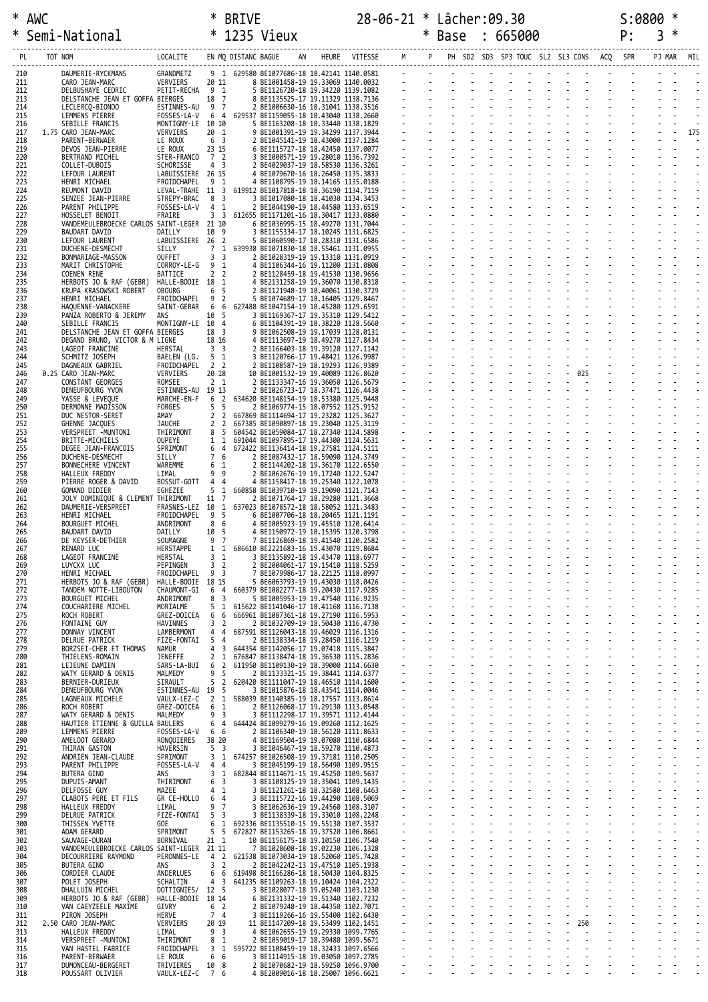|            | * AWC |                                                                    |                                  | ∗                                | <b>BRIVE</b>                 |                                                                                                                                                                                                                                          |  | 28-06-21 * Lâcher:09.30 |  |                 |  |  |                              |    | S:0800 |            |     |
|------------|-------|--------------------------------------------------------------------|----------------------------------|----------------------------------|------------------------------|------------------------------------------------------------------------------------------------------------------------------------------------------------------------------------------------------------------------------------------|--|-------------------------|--|-----------------|--|--|------------------------------|----|--------|------------|-----|
|            |       | Semi-National                                                      |                                  |                                  |                              | * 1235 Vieux                                                                                                                                                                                                                             |  |                         |  | * Base : 665000 |  |  |                              | P: | 3      |            |     |
|            |       | -------------------------<br>LOCALITE      EN MQ DISTANC BAGUE     |                                  |                                  |                              |                                                                                                                                                                                                                                          |  |                         |  |                 |  |  |                              |    |        | PJ MAR MIL |     |
| 210        |       | DAUMERIE-RYCKMANS                                                  | GRANDMETZ                        |                                  | 91                           | 629589 BE107686-18 18 -2141 14140 -581<br>8 BE1087686-18 18 -2141 14140 -683<br>8 BE1087788-18 19 -34299 1139 -1882<br>8 BE1125729-18 19 -34299 1139 -1882<br>8 BE1125729-18 19 -34299 1139 -1882<br>8 BE11687525 -17 19 -113129 1138 -1 |  |                         |  |                 |  |  |                              |    |        |            |     |
| 211<br>212 |       | CARO JEAN-MARC<br>DELBUSHAYE CEDRIC                                | VERVIERS<br>PETIT-RECHA 9 1      | 20 11                            |                              |                                                                                                                                                                                                                                          |  |                         |  |                 |  |  |                              |    |        |            |     |
| 213        |       | DELSTANCHE JEAN ET GOFFA BIERGES                                   |                                  | 18 7                             |                              |                                                                                                                                                                                                                                          |  |                         |  |                 |  |  |                              |    |        |            |     |
| 214<br>215 |       | LECLERCQ-BIONDO<br>LEMMENS PIERRE                                  | ESTINNES-AU<br>FOSSES-LA-V       | 9 7<br>6 4                       |                              |                                                                                                                                                                                                                                          |  |                         |  |                 |  |  |                              |    |        |            |     |
| 216<br>217 |       | SEBILLE FRANCIS<br>1.75 CARO JEAN-MARC                             | MONTIGNY-LE 10 10<br>VERVIERS    | 20 1                             |                              |                                                                                                                                                                                                                                          |  |                         |  |                 |  |  |                              |    |        |            | 175 |
| 218        |       | PARENT-BERWAER                                                     | LE ROUX                          | 6 <sup>3</sup>                   |                              |                                                                                                                                                                                                                                          |  |                         |  |                 |  |  |                              |    |        |            |     |
| 219<br>220 |       | DEVOS JEAN-PIERRE<br>BERTRAND MICHEL                               | LE ROUX<br>STER-FRANCO           | 23 15<br>7 2                     |                              |                                                                                                                                                                                                                                          |  |                         |  |                 |  |  |                              |    |        |            |     |
| 221<br>222 |       | COLLET-DUBOIS<br>LEFOUR LAURENT                                    | SCHORISSE<br>LABUISSIERE 26 15   | 4 <sub>3</sub>                   |                              |                                                                                                                                                                                                                                          |  |                         |  |                 |  |  |                              |    |        |            |     |
| 223        |       | HENRI MICHAEL                                                      | FROIDCHAPEL                      | 91                               |                              |                                                                                                                                                                                                                                          |  |                         |  |                 |  |  |                              |    |        |            |     |
| 224<br>225 |       | REUMONT DAVID<br>SENZEE JEAN-PIERRE                                | LEVAL-TRAHE 11 3<br>STREPY-BRAC  | 8 3                              |                              |                                                                                                                                                                                                                                          |  |                         |  |                 |  |  |                              |    |        |            |     |
| 226<br>227 |       | PARENT PHILIPPE<br>HOSSELET BENOIT                                 | FOSSES-LA-V<br>FRAIRE            | 4<br>3 <sup>3</sup>              | 1                            | 612655 BE1171201-16 18.30417 1133.0880                                                                                                                                                                                                   |  |                         |  |                 |  |  |                              |    |        |            |     |
| 228        |       | VANDEMEULEBROECKE CARLOS SAINT-LEGER 21 10                         |                                  |                                  |                              | 6 BE1036995-15 18.49270 1131.7044                                                                                                                                                                                                        |  |                         |  |                 |  |  |                              |    |        |            |     |
| 229<br>230 |       | BAUDART DAVID<br>LEFOUR LAURENT                                    | DAILLY<br>LABUISSIERE 26 2       | 10 9                             |                              | 3 BE1155334-17 18.10245 1131.6825<br>5 BE1060590-17 18.28310 1131.6586                                                                                                                                                                   |  |                         |  |                 |  |  |                              |    |        |            |     |
| 231<br>232 |       | DUCHENE-DESMECHT<br>BONMARIAGE-MASSON                              | SILLY<br>OUFFET                  | 7 1<br>3 <sup>3</sup>            |                              | 639938 BE1071830-18 18.55461 1131.0955<br>2 BE1028319-19 19.13310 1131.0919                                                                                                                                                              |  |                         |  |                 |  |  |                              |    |        |            |     |
| 233<br>234 |       | MARIT CHRISTOPHE<br><b>COENEN RENE</b>                             | CORROY-LE-G<br>BATTICE           | 9 <sub>1</sub><br>2 <sub>2</sub> |                              | 4 BE1106344-16 19.11200 1131.0808<br>2 BE1128459-18 19.41530 1130.9656                                                                                                                                                                   |  |                         |  |                 |  |  |                              |    |        |            |     |
| 235        |       | HERBOTS JO & RAF (GEBR)                                            | HALLE-BOOIE 18 1                 |                                  |                              | 4 BE2131258-19 19.36070 1130.8318                                                                                                                                                                                                        |  |                         |  |                 |  |  |                              |    |        |            |     |
| 236<br>237 |       | KRUPA KRASOWSKI ROBERT<br>HENRI MICHAEL                            | <b>OBOURG</b><br>FROIDCHAPEL     | 6 <sub>5</sub><br>9              | $\overline{2}$               | 2 BE1121948-19 18.40061 1130.3729<br>5 BE1074689-17 18.16405 1129.8467                                                                                                                                                                   |  |                         |  |                 |  |  |                              |    |        |            |     |
| 238<br>239 |       | HAQUENNE-VANACKERE<br>PANZA ROBERTO & JEREMY                       | SAINT-GERAR<br>ANS               | 6<br>10 5                        |                              | 6 627488 BE1047154-19 18.45280 1129.6591<br>3 BE1169367-17 19.35310 1129.5412                                                                                                                                                            |  |                         |  |                 |  |  |                              |    |        |            |     |
| 240        |       | SEBILLE FRANCIS                                                    | MONTIGNY-LE 10 4                 |                                  |                              | 6 BE1104391-19 18.38220 1128.5660                                                                                                                                                                                                        |  |                         |  |                 |  |  |                              |    |        |            |     |
| 241<br>242 |       | DELSTANCHE JEAN ET GOFFA BIERGES<br>DEGAND BRUNO, VICTOR & M LIGNE |                                  | 18 3<br>18 16                    |                              | 9 BE1062508-19 19.17039 1128.0131<br>4 BE1113697-19 18.49270 1127.8434                                                                                                                                                                   |  |                         |  |                 |  |  |                              |    |        |            |     |
| 243<br>244 |       | LAGEOT FRANCINE<br>SCHMITZ JOSEPH                                  | HERSTAL<br>BAELEN (LG.           | 3 <sup>3</sup><br>5 1            |                              | 2 BE1166403-18 19.39120 1127.1142<br>3 BE1120766-17 19.48421 1126.9987                                                                                                                                                                   |  |                         |  |                 |  |  |                              |    |        |            |     |
| 245        |       | DAGNEAUX GABRIEL                                                   | FROIDCHAPEL                      | 2 2                              |                              | 2 BE1108587-19 18.19293 1126.9389                                                                                                                                                                                                        |  |                         |  |                 |  |  | - - - - - -<br>- - - - - 025 |    |        |            |     |
| 246<br>247 |       | 0.25 CARO JEAN-MARC<br>CONSTANT GEORGES                            | VERVIERS<br>ROMSEE               | 20 18<br>2 <sub>1</sub>          |                              | 10 BE1001532-19 19.40089 1126.8620<br>2 BE1133347-16 19.36050 1126.5679                                                                                                                                                                  |  |                         |  |                 |  |  |                              |    |        |            |     |
| 248<br>249 |       | DENEUFBOURG YVON<br>YASSE & LEVEQUE                                | ESTINNES-AU 19 13<br>MARCHE-EN-F | 6                                | $\overline{2}$               | 2 BE1026723-17 18.37471 1126.4438<br>634620 BE1148154-19 18.53380 1125.9448                                                                                                                                                              |  |                         |  |                 |  |  |                              |    |        |            |     |
| 250        |       | DERMONNE MADISSON                                                  | FORGES                           | 5 <sub>5</sub>                   |                              | 2 BE1069774-15 18.07552 1125.9152                                                                                                                                                                                                        |  |                         |  |                 |  |  |                              |    |        |            |     |
| 251<br>252 |       | DUC NESTOR-SERET<br>GHENNE JACQUES                                 | amay<br><b>JAUCHE</b>            | 2 <sub>2</sub><br>2 <sub>2</sub> |                              | 667869 BE1114694-17 19.23282 1125.3627<br>667385 BE1090897-18 19.23040 1125.3119                                                                                                                                                         |  |                         |  |                 |  |  |                              |    |        |            |     |
| 253<br>254 |       | VERSPREET -MUNTONI                                                 | THIRIMONT<br>OUPEYE              | 8 5<br>$\mathbf{1}$              | - 1                          | 604542 BE1059084-17 18.27340 1124.5898                                                                                                                                                                                                   |  |                         |  |                 |  |  |                              |    |        |            |     |
| 255        |       | BRITTE-MICHIELS<br>DEGEE JEAN-FRANCOIS                             | SPRIMONT                         | 6 4                              |                              | 691044 BE1097895-17 19.44300 1124.5631<br>672422 BE1136414-18 19.27581 1124.5111                                                                                                                                                         |  |                         |  |                 |  |  |                              |    |        |            |     |
| 256<br>257 |       | DUCHENE-DESMECHT<br>BONNECHERE VINCENT                             | SILLY<br>WAREMME                 | 7 6<br>61                        |                              | 2 BE1087432-17 18.59090 1124.3749<br>2 BE1144202-18 19.36170 1122.6550                                                                                                                                                                   |  |                         |  |                 |  |  |                              |    |        |            |     |
| 258        |       | HALLEUX FREDDY                                                     | LIMAL                            | 99                               |                              | 2 BE1062676-19 19.17240 1122.5247                                                                                                                                                                                                        |  |                         |  |                 |  |  |                              |    |        |            |     |
| 259<br>260 |       | PIERRE ROGER & DAVID<br>GOMAND DIDIER                              | BOSSUT-GOTT<br>EGHEZEE           | 4 4<br>5 <sub>1</sub>            |                              | 4 BE1158417-18 19.25340 1122.1078<br>660858 BE1039710-19 19.19090 1121.7143                                                                                                                                                              |  |                         |  |                 |  |  |                              |    |        |            |     |
| 261<br>262 |       | JOLY DOMINIQUE & CLEMENT THIRIMONT<br>DAUMERIE-VERSPREET           | FRASNES-LEZ 10                   | 11 7                             | 1                            | 2 BE1071764-17 18.29280 1121.3668<br>637023 BE1078572-18 18.58052 1121.3483                                                                                                                                                              |  |                         |  |                 |  |  |                              |    |        |            |     |
| 263        |       | HENRI MICHAEL                                                      | FROIDCHAPEL                      | 9 5                              |                              | 6 BE1007706-18 18.20465 1121.1191                                                                                                                                                                                                        |  |                         |  |                 |  |  |                              |    |        |            |     |
| 264<br>265 |       | <b>BOURGUET MICHEL</b><br>BAUDART DAVID                            | ANDRIMONT<br>DAILLY              | 8 6<br>10                        | - 5                          | 4 BE1005923-19 19.45510 1120.6414<br>4 BE1150972-19 18.15395 1120.3798                                                                                                                                                                   |  |                         |  |                 |  |  |                              |    |        |            |     |
| 266<br>267 |       | DE KEYSER-DETHIER<br>RENARD LUC                                    | SOUMAGNE<br>HERSTAPPE            | 9 7<br>1                         | 1                            | 7 BE1126869-18 19.41540 1120.2582<br>686610 BE2221683-16 19.43070 1119.8684                                                                                                                                                              |  |                         |  |                 |  |  |                              |    |        |            |     |
| 268        |       | LAGEOT FRANCINE                                                    | HERSTAL                          | 3                                | $\overline{1}$               | 3 BE1135892-18 19.43470 1118.6977                                                                                                                                                                                                        |  |                         |  |                 |  |  |                              |    |        |            |     |
| 269<br>270 |       | LUYCKX LUC<br>HENRI MICHAEL                                        | PEPINGEN<br>FROIDCHAPEL          | 3 <sub>2</sub><br>9 3            |                              | 2 BE2004061-17 19.15410 1118.5259<br>7 BE1079986-17 18.22125 1118.0997                                                                                                                                                                   |  |                         |  |                 |  |  |                              |    |        |            |     |
| 271<br>272 |       | HERBOTS JO & RAF (GEBR)<br>TANDEM NOTTE-LIBOUTON                   | HALLE-BOOIE 18 15<br>CHAUMONT-GI | 6 <sub>4</sub>                   |                              | 5 BE6063793-19 19.43030 1118.0426<br>660379 BE1082277-18 19.20430 1117.9285                                                                                                                                                              |  |                         |  |                 |  |  |                              |    |        |            |     |
| 273<br>274 |       | <b>BOURGUET MICHEL</b><br>COUCHARIERE MICHEL                       | ANDRIMONT<br>MORIALME            | 8<br>5                           | $\overline{\mathbf{3}}$<br>1 | 5 BE1005953-19 19.47540 1116.9235<br>615622 BE1141046-17 18.41168 1116.7138                                                                                                                                                              |  |                         |  |                 |  |  |                              |    |        |            |     |
| 275        |       | ROCH ROBERT                                                        | GREZ-DOICEA                      | 6 6                              |                              | 666961 BE1087361-18 19.27190 1116.5953                                                                                                                                                                                                   |  |                         |  |                 |  |  |                              |    |        |            |     |
| 276<br>277 |       | FONTAINE GUY<br>DONNAY VINCENT                                     | HAVINNES<br>LAMBERMONT           | 3 <sub>2</sub><br>44             |                              | 2 BE1032709-19 18.50430 1116.4730<br>687591 BE1126043-18 19.46029 1116.1316                                                                                                                                                              |  |                         |  |                 |  |  |                              |    |        |            |     |
| 278        |       | <b>DELRUE PATRICK</b>                                              | FIZE-FONTAI                      | 5 <sub>4</sub>                   |                              | 2 BE1138334-18 19.28450 1116.1219                                                                                                                                                                                                        |  |                         |  |                 |  |  |                              |    |        |            |     |
| 279<br>280 |       | BORZSEI-CHER ET THOMAS<br>THIELENS-ROMAIN                          | Namur<br>JENEFFE                 | 4<br>$\overline{2}$              | $\overline{\mathbf{3}}$<br>1 | 644354 BE1142056-17 19.07418 1115.3847<br>676847 BE1138474-18 19.36530 1115.2836                                                                                                                                                         |  |                         |  |                 |  |  |                              |    |        |            |     |
| 281<br>282 |       | LEJEUNE DAMIEN<br>WATY GERARD & DENIS                              | SARS-LA-BUI<br>MALMEDY           | 6<br>9 <sub>5</sub>              | $\overline{2}$               | 611950 BE1109130-19 18.39000 1114.6630<br>2 BE1133321-15 19.38441 1114.6377                                                                                                                                                              |  |                         |  |                 |  |  |                              |    |        |            |     |
| 283        |       | BERNIER-DURIEUX                                                    | SIRAULT                          | 5 <sub>2</sub>                   |                              | 620420 BE1111047-19 18.46510 1114.1600                                                                                                                                                                                                   |  |                         |  |                 |  |  |                              |    |        |            |     |
| 284<br>285 |       | DENEUFBOURG YVON<br>LAGNEAUX MICHELE                               | ESTINNES-AU 19 5<br>VAULX-LEZ-C  | 2 <sub>1</sub>                   |                              | 3 BE1015876-18 18.43541 1114.0046<br>588039 BE1140385-19 18.17557 1113.8614                                                                                                                                                              |  |                         |  |                 |  |  |                              |    |        |            |     |
| 286<br>287 |       | ROCH ROBERT<br>WATY GERARD & DENIS                                 | GREZ-DOICEA<br>MALMEDY           | 6<br>9 <sub>3</sub>              | 1                            | 2 BE1126068-17 19.29130 1113.0548<br>3 BE1112298-17 19.39571 1112.4144                                                                                                                                                                   |  |                         |  |                 |  |  |                              |    |        |            |     |
| 288<br>289 |       | HAUTIER ETIENNE & GUILLA BAULERS                                   |                                  | 6 4                              |                              | 644424 BE1099279-16 19.09260 1112.1625                                                                                                                                                                                                   |  |                         |  |                 |  |  |                              |    |        |            |     |
| 290        |       | LEMMENS PIERRE<br>AMELOOT GERARD                                   | FOSSES-LA-V<br>RONQUIERES        | 6 6<br>38 20                     |                              | 2 BE1106340-19 18.56120 1111.8633<br>4 BE1169504-19 19.07080 1110.6844                                                                                                                                                                   |  |                         |  |                 |  |  |                              |    |        |            |     |
| 291<br>292 |       | THIRAN GASTON<br>ANDRIEN JEAN-CLAUDE                               | HAVERSIN<br>SPRIMONT             | 5 <sub>3</sub><br>3              | 1                            | 3 BE1046467-19 18.59270 1110.4873<br>674257 BE1026508-19 19.37181 1110.2505                                                                                                                                                              |  |                         |  |                 |  |  |                              |    |        |            |     |
| 293<br>294 |       | PARENT PHILIPPE                                                    | FOSSES-LA-V                      | 44<br>3                          | 1                            | 3 BE1045199-19 18.56490 1109.9515                                                                                                                                                                                                        |  |                         |  |                 |  |  |                              |    |        |            |     |
| 295        |       | BUTERA GINO<br>DUPUIS-AMANT                                        | ans<br>THIRIMONT                 | 6                                | 3                            | 682844 BE1114671-15 19.45250 1109.5637<br>3 BE1108125-19 18.35041 1109.1435                                                                                                                                                              |  |                         |  |                 |  |  |                              |    |        |            |     |
| 296<br>297 |       | DELFOSSE GUY<br>CLABOTS PERE ET FILS                               | MAZEE<br>GR CE-HOLLO             | 4<br>6                           | -1<br>$\overline{4}$         | 3 BE1121261-18 18.32580 1108.6463<br>3 BE1115722-16 19.44290 1108.5069                                                                                                                                                                   |  |                         |  |                 |  |  |                              |    |        |            |     |
| 298<br>299 |       | HALLEUX FREDDY                                                     | LIMAL<br>FIZE-FONTAI             | 9<br>5 <sub>3</sub>              | $\overline{7}$               | 3 BE1062636-19 19.24560 1108.3107                                                                                                                                                                                                        |  |                         |  |                 |  |  |                              |    |        |            |     |
| 300        |       | <b>DELRUE PATRICK</b><br>THISSEN YVETTE                            | GOE                              | 6                                | 1                            | 3 BE1138339-18 19.33010 1108.2248<br>692336 BE1135510-15 19.55130 1107.3537                                                                                                                                                              |  |                         |  |                 |  |  |                              |    |        |            |     |
| 301<br>302 |       | ADAM GERARD<br>SAUVAGE-DURAN                                       | SPRIMONT<br>BORNIVAL             | 5 <sub>5</sub><br>21 1           |                              | 672827 BE1153265-18 19.37520 1106.8661<br>10 BE1156175-18 19.10150 1106.7540                                                                                                                                                             |  |                         |  |                 |  |  |                              |    |        |            |     |
| 303        |       | VANDEMEULEBROECKE CARLOS SAINT-LEGER 21 11                         |                                  |                                  |                              | 7 BE1028608-18 19.02230 1106.1328                                                                                                                                                                                                        |  |                         |  |                 |  |  |                              |    |        |            |     |
| 304<br>305 |       | DECOURRIERE RAYMOND<br><b>BUTERA GINO</b>                          | PERONNES-LE<br>ANS               | 4 2<br>3 <sub>2</sub>            |                              | 621538 BE1073034-19 18.52060 1105.7428<br>2 BE1042242-13 19.47510 1105.1938                                                                                                                                                              |  |                         |  |                 |  |  |                              |    |        |            |     |
| 306<br>307 |       | CORDIER CLAUDE<br>POLET JOSEPH                                     | ANDERLUES<br>SCHALTIN            | 6 6<br>4 <sup>3</sup>            |                              | 619498 BE1166286-18 18.50430 1104.8325<br>641235 BE1109263-18 19.10424 1104.2322                                                                                                                                                         |  |                         |  |                 |  |  |                              |    |        |            |     |
| 308        |       | DHALLUIN MICHEL                                                    | DOTTIGNIES/ 12 5                 |                                  |                              | 3 BE1028077-18 19.05240 1103.1230                                                                                                                                                                                                        |  |                         |  |                 |  |  |                              |    |        |            |     |
| 309<br>310 |       | HERBOTS JO & RAF (GEBR)<br>VAN CAEYZEELE MAXIME                    | HALLE-BOOIE 18 14<br>GIVRY       | 6 <sup>2</sup>                   |                              | 6 BE2131332-19 19.51340 1102.7232<br>2 BE1079248-19 18.44350 1102.7071                                                                                                                                                                   |  |                         |  |                 |  |  |                              |    |        |            |     |
| 311<br>312 |       | PIRON JOSEPH<br>2.50 CARO JEAN-MARC                                | HERVE<br>VERVIERS                | 7 4<br>20 19                     |                              | 3 BE1119266-16 19.55400 1102.6430<br>11 BE1147209-18 19.53499 1102.1451                                                                                                                                                                  |  |                         |  |                 |  |  | $-250$                       |    |        |            |     |
| 313        |       | HALLEUX FREDDY                                                     | LIMAL                            | 9 3                              |                              | 4 BE1062655-19 19.29330 1099.7765                                                                                                                                                                                                        |  |                         |  |                 |  |  | $\sim$                       |    |        |            |     |
| 314<br>315 |       | VERSPREET -MUNTONI<br>VAN HASTEL FABRICE                           | THIRIMONT<br>FROIDCHAPEL         | 8<br>$\overline{3}$              | 1<br>1                       | 2 BE1059019-17 18.39480 1099.5671<br>595722 BE1108459-19 18.32433 1097.6566                                                                                                                                                              |  |                         |  |                 |  |  |                              |    |        |            |     |
| 316<br>317 |       | PARENT-BERWAER<br>DUMONCEAU-BERGERET                               | LE ROUX<br>TRIVIERES             | 6<br>10 8                        | 6                            | 3 BE1114915-18 19.03050 1097.2785<br>2 BE1070682-19 18.59250 1096.9700                                                                                                                                                                   |  |                         |  |                 |  |  |                              |    |        |            |     |
| 318        |       | POUSSART OLIVIER                                                   | VAULX-LEZ-C 7 6                  |                                  |                              | 4 BE2009016-18 18.25007 1096.6621                                                                                                                                                                                                        |  |                         |  |                 |  |  |                              |    |        |            |     |